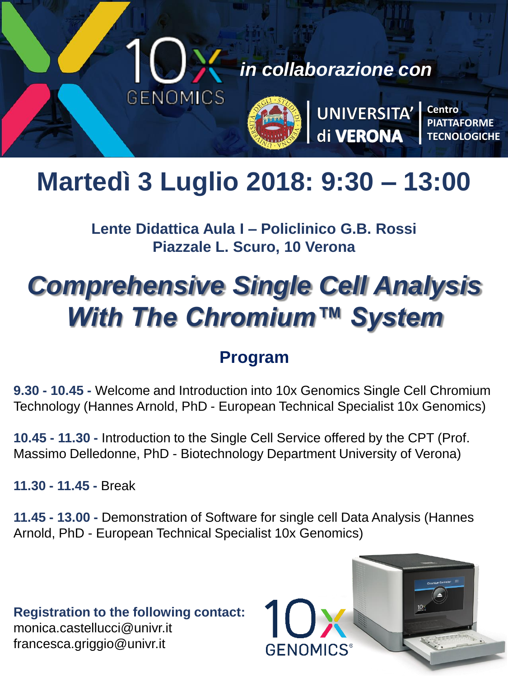

*in collaborazione con*



UNIVERSITA'<br>di VERONA

**Centro PIATTAFORME TECNOLOGICHE**

## **Martedì 3 Luglio 2018: 9:30 – 13:00**

**Lente Didattica Aula I – Policlinico G.B. Rossi Piazzale L. Scuro, 10 Verona**

# *Comprehensive Single Cell Analysis With The Chromium™ System*

## **Program**

**9.30 - 10.45 -** Welcome and Introduction into 10x Genomics Single Cell Chromium Technology (Hannes Arnold, PhD - European Technical Specialist 10x Genomics)

**10.45 - 11.30 -** Introduction to the Single Cell Service offered by the CPT (Prof. Massimo Delledonne, PhD - Biotechnology Department University of Verona)

**11.30 - 11.45 -** Break

**11.45 - 13.00 -** Demonstration of Software for single cell Data Analysis (Hannes Arnold, PhD - European Technical Specialist 10x Genomics)

**Registration to the following contact:**  monica.castellucci@univr.it francesca.griggio@univr.it